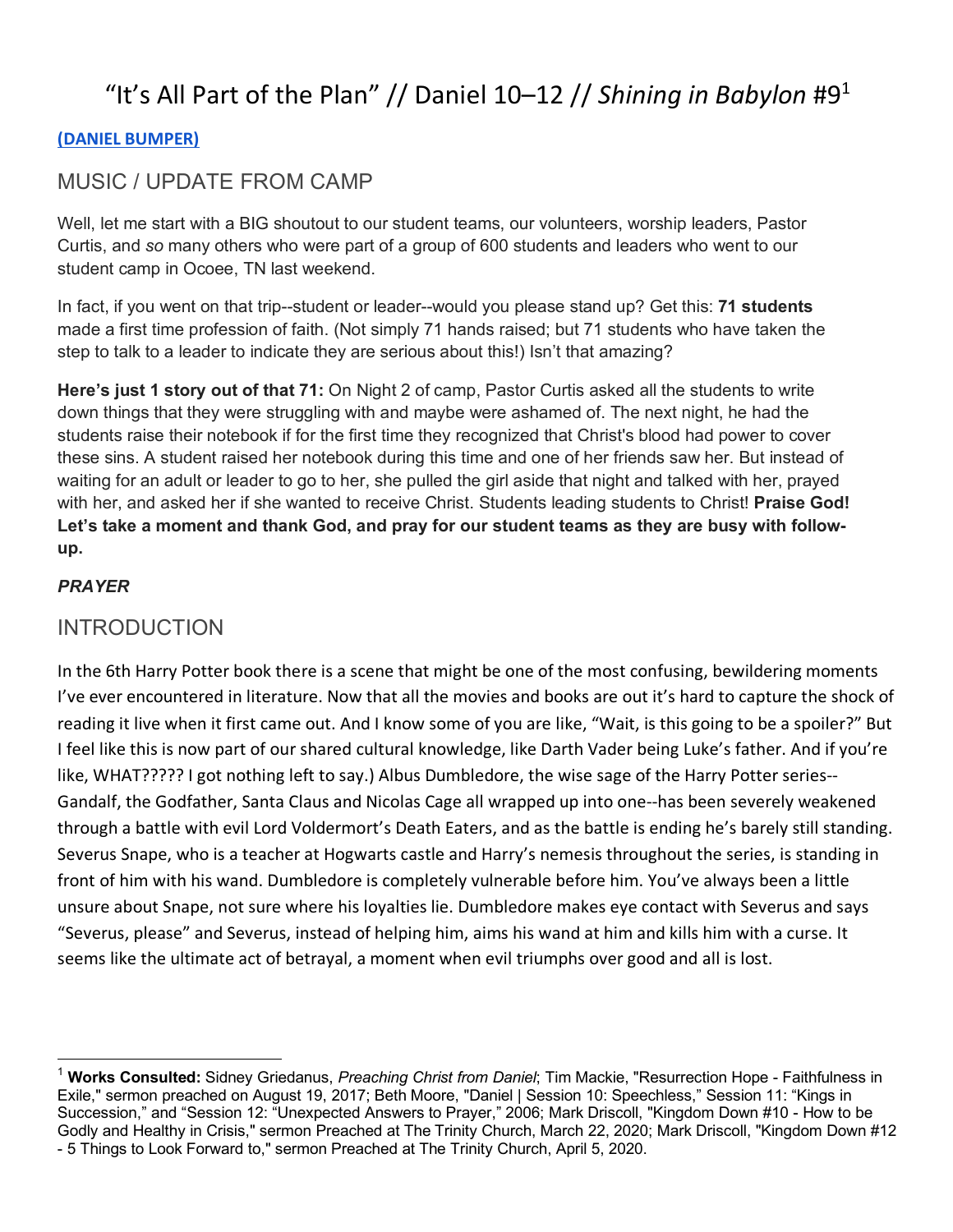# "It's All Part of the Plan" // Daniel  $10-12$  // *Shining in Babylon* #9<sup>1</sup>

#### **(DANIEL BUMPER)**

## MUSIC / UPDATE FROM CAMP

Well, let me start with a BIG shoutout to our student teams, our volunteers, worship leaders, Pastor Curtis, and *so* many others who were part of a group of 600 students and leaders who went to our student camp in Ocoee, TN last weekend.

In fact, if you went on that trip--student or leader--would you please stand up? Get this: **71 students** made a first time profession of faith. (Not simply 71 hands raised; but 71 students who have taken the step to talk to a leader to indicate they are serious about this!) Isn't that amazing?

**Here's just 1 story out of that 71:** On Night 2 of camp, Pastor Curtis asked all the students to write down things that they were struggling with and maybe were ashamed of. The next night, he had the students raise their notebook if for the first time they recognized that Christ's blood had power to cover these sins. A student raised her notebook during this time and one of her friends saw her. But instead of waiting for an adult or leader to go to her, she pulled the girl aside that night and talked with her, prayed with her, and asked her if she wanted to receive Christ. Students leading students to Christ! **Praise God! Let's take a moment and thank God, and pray for our student teams as they are busy with followup.** 

### *PRAYER*

## INTRODUCTION

In the 6th Harry Potter book there is a scene that might be one of the most confusing, bewildering moments I've ever encountered in literature. Now that all the movies and books are out it's hard to capture the shock of reading it live when it first came out. And I know some of you are like, "Wait, is this going to be a spoiler?" But I feel like this is now part of our shared cultural knowledge, like Darth Vader being Luke's father. And if you're like, WHAT????? I got nothing left to say.) Albus Dumbledore, the wise sage of the Harry Potter series-- Gandalf, the Godfather, Santa Claus and Nicolas Cage all wrapped up into one--has been severely weakened through a battle with evil Lord Voldermort's Death Eaters, and as the battle is ending he's barely still standing. Severus Snape, who is a teacher at Hogwarts castle and Harry's nemesis throughout the series, is standing in front of him with his wand. Dumbledore is completely vulnerable before him. You've always been a little unsure about Snape, not sure where his loyalties lie. Dumbledore makes eye contact with Severus and says "Severus, please" and Severus, instead of helping him, aims his wand at him and kills him with a curse. It seems like the ultimate act of betrayal, a moment when evil triumphs over good and all is lost.

 <sup>1</sup> **Works Consulted:** Sidney Griedanus, *Preaching Christ from Daniel*; Tim Mackie, "Resurrection Hope - Faithfulness in Exile," sermon preached on August 19, 2017; Beth Moore, "Daniel | Session 10: Speechless," Session 11: "Kings in Succession," and "Session 12: "Unexpected Answers to Prayer," 2006; Mark Driscoll, "Kingdom Down #10 - How to be Godly and Healthy in Crisis," sermon Preached at The Trinity Church, March 22, 2020; Mark Driscoll, "Kingdom Down #12 - 5 Things to Look Forward to," sermon Preached at The Trinity Church, April 5, 2020.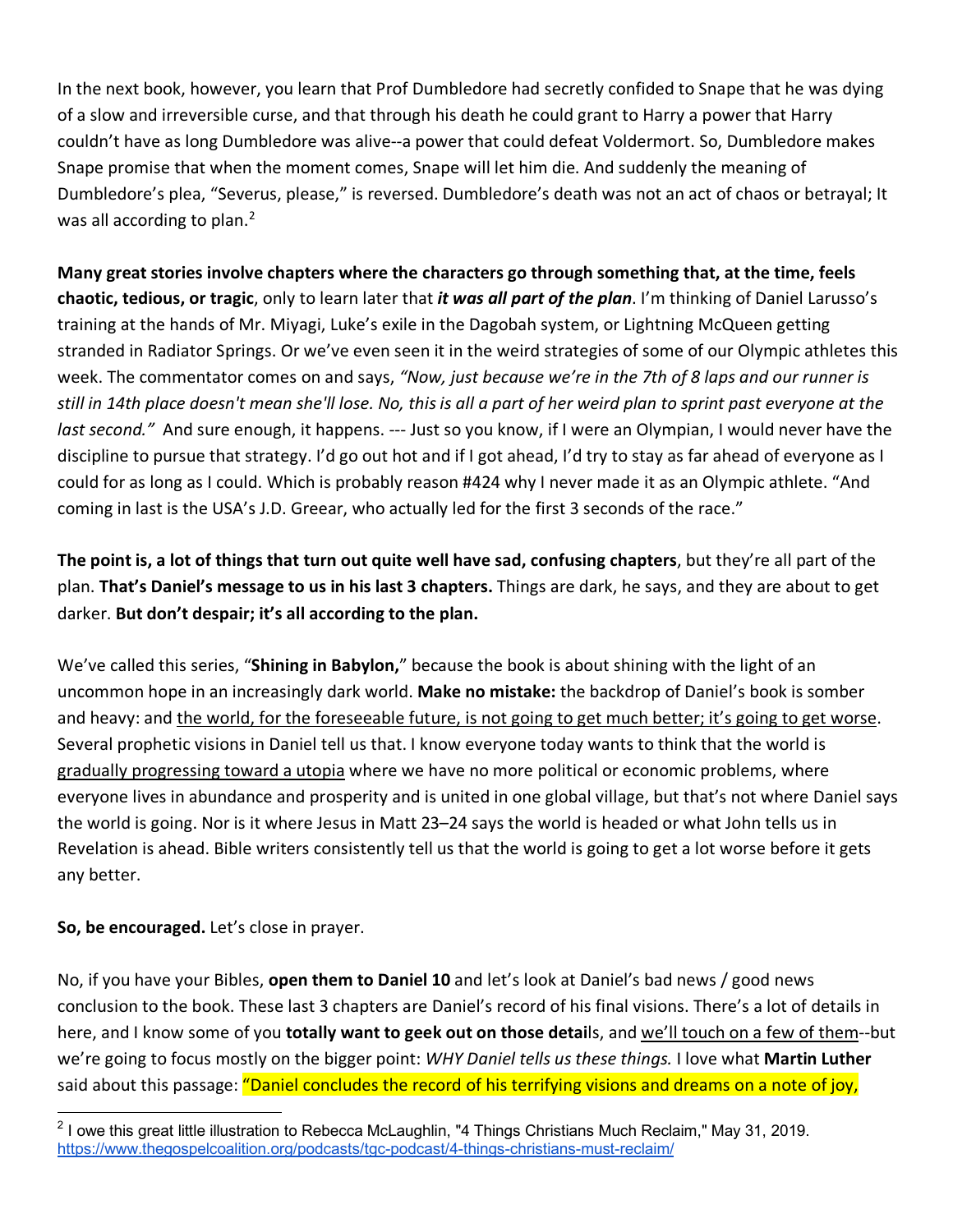In the next book, however, you learn that Prof Dumbledore had secretly confided to Snape that he was dying of a slow and irreversible curse, and that through his death he could grant to Harry a power that Harry couldn't have as long Dumbledore was alive--a power that could defeat Voldermort. So, Dumbledore makes Snape promise that when the moment comes, Snape will let him die. And suddenly the meaning of Dumbledore's plea, "Severus, please," is reversed. Dumbledore's death was not an act of chaos or betrayal; It was all according to plan. $<sup>2</sup>$ </sup>

**Many great stories involve chapters where the characters go through something that, at the time, feels chaotic, tedious, or tragic**, only to learn later that *it was all part of the plan*. I'm thinking of Daniel Larusso's training at the hands of Mr. Miyagi, Luke's exile in the Dagobah system, or Lightning McQueen getting stranded in Radiator Springs. Or we've even seen it in the weird strategies of some of our Olympic athletes this week. The commentator comes on and says, *"Now, just because we're in the 7th of 8 laps and our runner is still in 14th place doesn't mean she'll lose. No, this is all a part of her weird plan to sprint past everyone at the last second."* And sure enough, it happens. --- Just so you know, if I were an Olympian, I would never have the discipline to pursue that strategy. I'd go out hot and if I got ahead, I'd try to stay as far ahead of everyone as I could for as long as I could. Which is probably reason #424 why I never made it as an Olympic athlete. "And coming in last is the USA's J.D. Greear, who actually led for the first 3 seconds of the race."

**The point is, a lot of things that turn out quite well have sad, confusing chapters**, but they're all part of the plan. **That's Daniel's message to us in his last 3 chapters.** Things are dark, he says, and they are about to get darker. **But don't despair; it's all according to the plan.** 

We've called this series, "**Shining in Babylon,**" because the book is about shining with the light of an uncommon hope in an increasingly dark world. **Make no mistake:** the backdrop of Daniel's book is somber and heavy: and the world, for the foreseeable future, is not going to get much better; it's going to get worse. Several prophetic visions in Daniel tell us that. I know everyone today wants to think that the world is gradually progressing toward a utopia where we have no more political or economic problems, where everyone lives in abundance and prosperity and is united in one global village, but that's not where Daniel says the world is going. Nor is it where Jesus in Matt 23–24 says the world is headed or what John tells us in Revelation is ahead. Bible writers consistently tell us that the world is going to get a lot worse before it gets any better.

**So, be encouraged.** Let's close in prayer.

No, if you have your Bibles, **open them to Daniel 10** and let's look at Daniel's bad news / good news conclusion to the book. These last 3 chapters are Daniel's record of his final visions. There's a lot of details in here, and I know some of you **totally want to geek out on those detai**ls, and we'll touch on a few of them--but we're going to focus mostly on the bigger point: *WHY Daniel tells us these things.* I love what **Martin Luther** said about this passage: "Daniel concludes the record of his terrifying visions and dreams on a note of joy,

 $2$  I owe this great little illustration to Rebecca McLaughlin, "4 Things Christians Much Reclaim," May 31, 2019. https://www.thegospelcoalition.org/podcasts/tgc-podcast/4-things-christians-must-reclaim/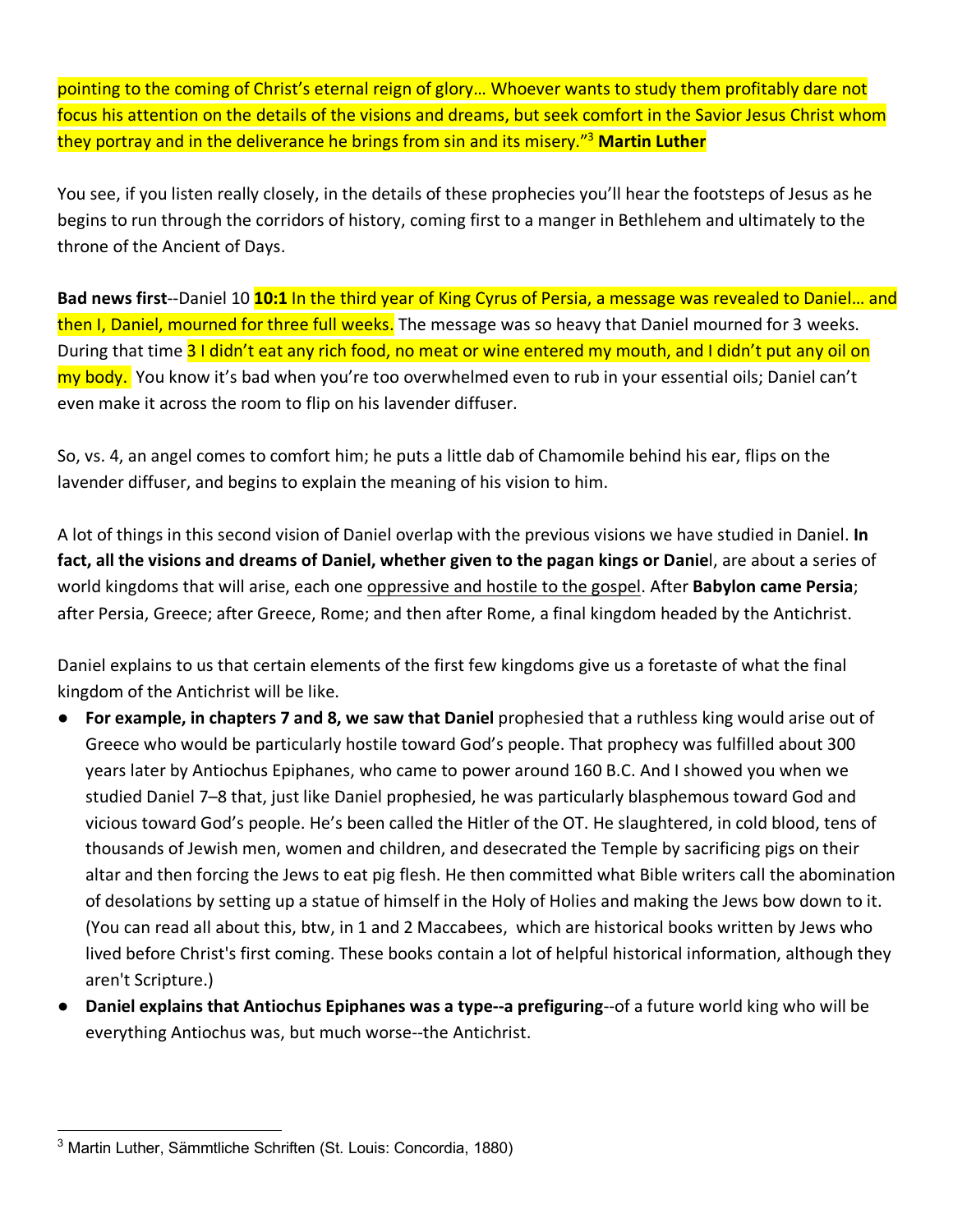pointing to the coming of Christ's eternal reign of glory… Whoever wants to study them profitably dare not focus his attention on the details of the visions and dreams, but seek comfort in the Savior Jesus Christ whom they portray and in the deliverance he brings from sin and its misery."3 **Martin Luther**

You see, if you listen really closely, in the details of these prophecies you'll hear the footsteps of Jesus as he begins to run through the corridors of history, coming first to a manger in Bethlehem and ultimately to the throne of the Ancient of Days.

**Bad news first**--Daniel 10 **10:1** In the third year of King Cyrus of Persia, a message was revealed to Daniel… and then I, Daniel, mourned for three full weeks. The message was so heavy that Daniel mourned for 3 weeks. During that time 31 didn't eat any rich food, no meat or wine entered my mouth, and I didn't put any oil on my body. You know it's bad when you're too overwhelmed even to rub in your essential oils; Daniel can't even make it across the room to flip on his lavender diffuser.

So, vs. 4, an angel comes to comfort him; he puts a little dab of Chamomile behind his ear, flips on the lavender diffuser, and begins to explain the meaning of his vision to him.

A lot of things in this second vision of Daniel overlap with the previous visions we have studied in Daniel. **In fact, all the visions and dreams of Daniel, whether given to the pagan kings or Danie**l, are about a series of world kingdoms that will arise, each one oppressive and hostile to the gospel. After **Babylon came Persia**; after Persia, Greece; after Greece, Rome; and then after Rome, a final kingdom headed by the Antichrist.

Daniel explains to us that certain elements of the first few kingdoms give us a foretaste of what the final kingdom of the Antichrist will be like.

- For example, in chapters 7 and 8, we saw that Daniel prophesied that a ruthless king would arise out of Greece who would be particularly hostile toward God's people. That prophecy was fulfilled about 300 years later by Antiochus Epiphanes, who came to power around 160 B.C. And I showed you when we studied Daniel 7–8 that, just like Daniel prophesied, he was particularly blasphemous toward God and vicious toward God's people. He's been called the Hitler of the OT. He slaughtered, in cold blood, tens of thousands of Jewish men, women and children, and desecrated the Temple by sacrificing pigs on their altar and then forcing the Jews to eat pig flesh. He then committed what Bible writers call the abomination of desolations by setting up a statue of himself in the Holy of Holies and making the Jews bow down to it. (You can read all about this, btw, in 1 and 2 Maccabees, which are historical books written by Jews who lived before Christ's first coming. These books contain a lot of helpful historical information, although they aren't Scripture.)
- **Daniel explains that Antiochus Epiphanes was a type--a prefiguring**--of a future world king who will be everything Antiochus was, but much worse--the Antichrist.

 <sup>3</sup> Martin Luther, Sämmtliche Schriften (St. Louis: Concordia, 1880)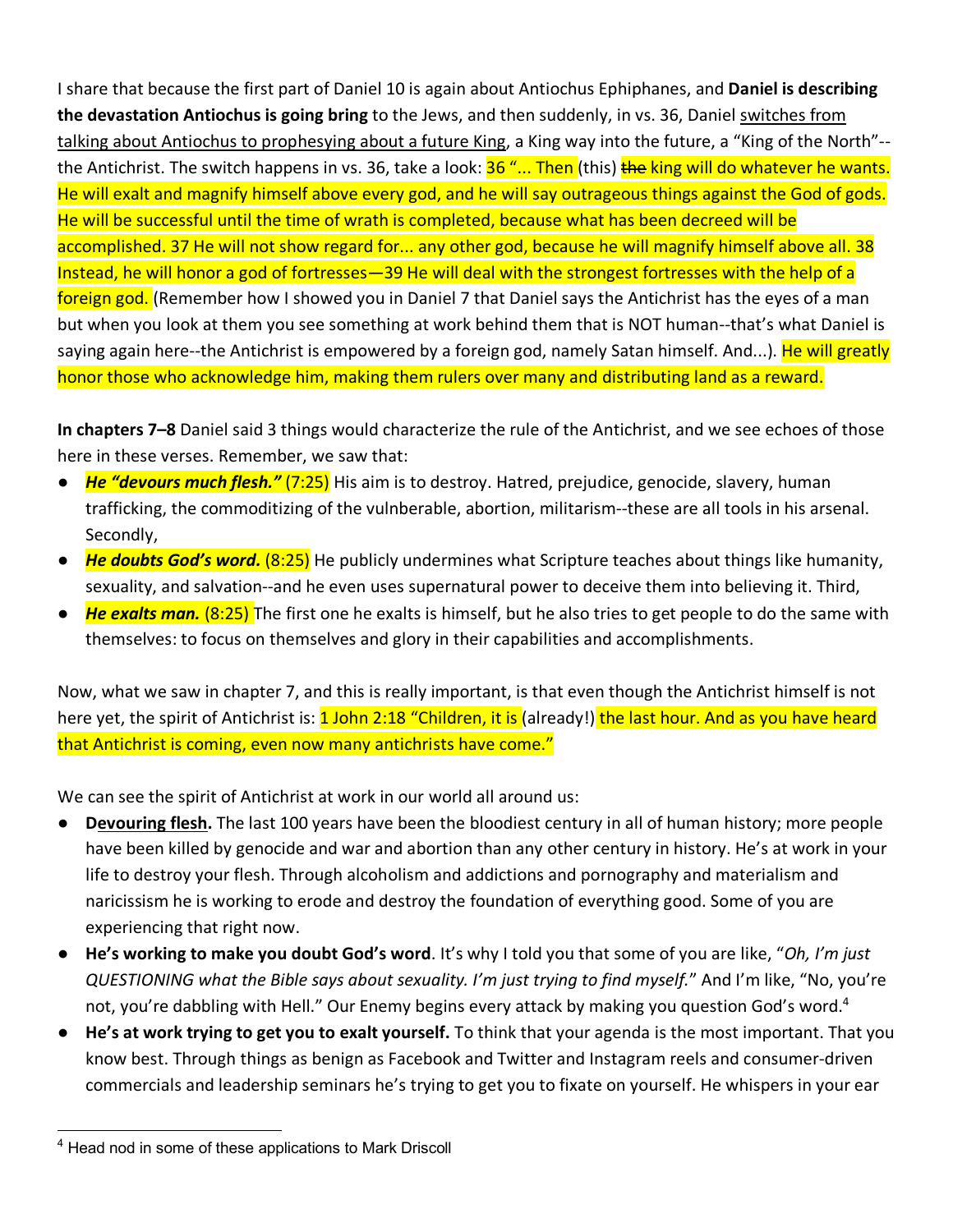I share that because the first part of Daniel 10 is again about Antiochus Ephiphanes, and **Daniel is describing the devastation Antiochus is going bring** to the Jews, and then suddenly, in vs. 36, Daniel switches from talking about Antiochus to prophesying about a future King, a King way into the future, a "King of the North"- the Antichrist. The switch happens in vs. 36, take a look: <mark>36 "... Then</mark> (this) **the king will do whatever he wants.** He will exalt and magnify himself above every god, and he will say outrageous things against the God of gods. He will be successful until the time of wrath is completed, because what has been decreed will be accomplished. 37 He will not show regard for... any other god, because he will magnify himself above all. 38 Instead, he will honor a god of fortresses—39 He will deal with the strongest fortresses with the help of a foreign god. (Remember how I showed you in Daniel 7 that Daniel says the Antichrist has the eyes of a man but when you look at them you see something at work behind them that is NOT human--that's what Daniel is saying again here--the Antichrist is empowered by a foreign god, namely Satan himself. And...). He will greatly honor those who acknowledge him, making them rulers over many and distributing land as a reward.

**In chapters 7–8** Daniel said 3 things would characterize the rule of the Antichrist, and we see echoes of those here in these verses. Remember, we saw that:

- **He "devours much flesh."** (7:25) His aim is to destroy. Hatred, prejudice, genocide, slavery, human trafficking, the commoditizing of the vulnberable, abortion, militarism--these are all tools in his arsenal. Secondly,
- *He doubts God's word.* (8:25) He publicly undermines what Scripture teaches about things like humanity, sexuality, and salvation--and he even uses supernatural power to deceive them into believing it. Third,
- *He exalts man.* (8:25) The first one he exalts is himself, but he also tries to get people to do the same with themselves: to focus on themselves and glory in their capabilities and accomplishments.

Now, what we saw in chapter 7, and this is really important, is that even though the Antichrist himself is not here yet, the spirit of Antichrist is: 1 John 2:18 "Children, it is (already!) the last hour. And as you have heard that Antichrist is coming, even now many antichrists have come."

We can see the spirit of Antichrist at work in our world all around us:

- **Devouring flesh.** The last 100 years have been the bloodiest century in all of human history; more people have been killed by genocide and war and abortion than any other century in history. He's at work in your life to destroy your flesh. Through alcoholism and addictions and pornography and materialism and naricissism he is working to erode and destroy the foundation of everything good. Some of you are experiencing that right now.
- **He's working to make you doubt God's word**. It's why I told you that some of you are like, "*Oh, I'm just QUESTIONING what the Bible says about sexuality. I'm just trying to find myself.*" And I'm like, "No, you're not, you're dabbling with Hell." Our Enemy begins every attack by making you question God's word.<sup>4</sup>
- **He's at work trying to get you to exalt yourself.** To think that your agenda is the most important. That you know best. Through things as benign as Facebook and Twitter and Instagram reels and consumer-driven commercials and leadership seminars he's trying to get you to fixate on yourself. He whispers in your ear

<sup>&</sup>lt;sup>4</sup> Head nod in some of these applications to Mark Driscoll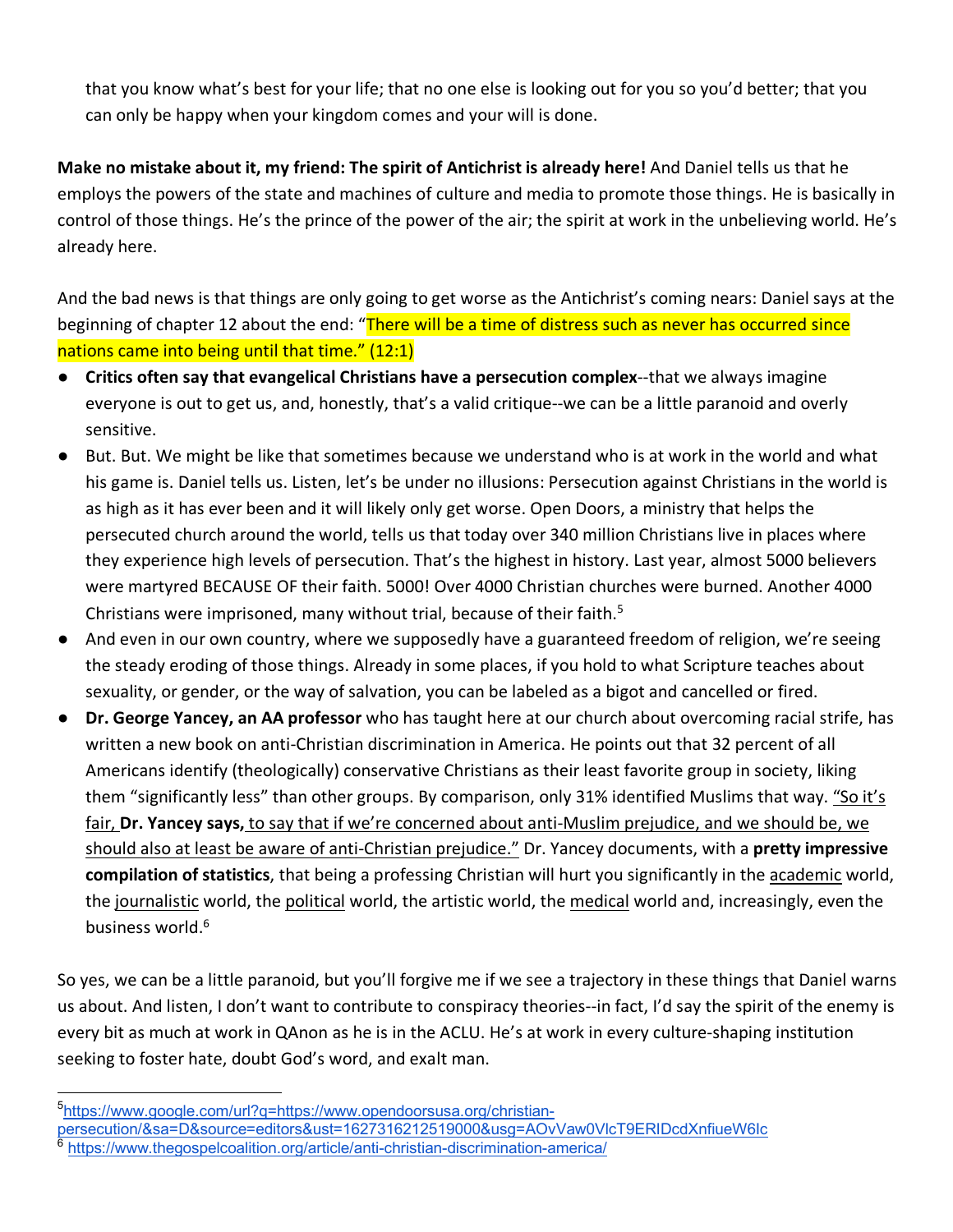that you know what's best for your life; that no one else is looking out for you so you'd better; that you can only be happy when your kingdom comes and your will is done.

**Make no mistake about it, my friend: The spirit of Antichrist is already here!** And Daniel tells us that he employs the powers of the state and machines of culture and media to promote those things. He is basically in control of those things. He's the prince of the power of the air; the spirit at work in the unbelieving world. He's already here.

And the bad news is that things are only going to get worse as the Antichrist's coming nears: Daniel says at the beginning of chapter 12 about the end: "There will be a time of distress such as never has occurred since nations came into being until that time." (12:1)

- **Critics often say that evangelical Christians have a persecution complex--that we always imagine** everyone is out to get us, and, honestly, that's a valid critique--we can be a little paranoid and overly sensitive.
- But. But. We might be like that sometimes because we understand who is at work in the world and what his game is. Daniel tells us. Listen, let's be under no illusions: Persecution against Christians in the world is as high as it has ever been and it will likely only get worse. Open Doors, a ministry that helps the persecuted church around the world, tells us that today over 340 million Christians live in places where they experience high levels of persecution. That's the highest in history. Last year, almost 5000 believers were martyred BECAUSE OF their faith. 5000! Over 4000 Christian churches were burned. Another 4000 Christians were imprisoned, many without trial, because of their faith.<sup>5</sup>
- And even in our own country, where we supposedly have a guaranteed freedom of religion, we're seeing the steady eroding of those things. Already in some places, if you hold to what Scripture teaches about sexuality, or gender, or the way of salvation, you can be labeled as a bigot and cancelled or fired.
- **Dr. George Yancey, an AA professor** who has taught here at our church about overcoming racial strife, has written a new book on anti-Christian discrimination in America. He points out that 32 percent of all Americans identify (theologically) conservative Christians as their least favorite group in society, liking them "significantly less" than other groups. By comparison, only 31% identified Muslims that way. "So it's fair, **Dr. Yancey says,** to say that if we're concerned about anti-Muslim prejudice, and we should be, we should also at least be aware of anti-Christian prejudice." Dr. Yancey documents, with a **pretty impressive compilation of statistics**, that being a professing Christian will hurt you significantly in the academic world, the journalistic world, the political world, the artistic world, the medical world and, increasingly, even the business world.<sup>6</sup>

So yes, we can be a little paranoid, but you'll forgive me if we see a trajectory in these things that Daniel warns us about. And listen, I don't want to contribute to conspiracy theories--in fact, I'd say the spirit of the enemy is every bit as much at work in QAnon as he is in the ACLU. He's at work in every culture-shaping institution seeking to foster hate, doubt God's word, and exalt man.

 <sup>5</sup> https://www.google.com/url?q=https://www.opendoorsusa.org/christian-

persecution/&sa=D&source=editors&ust=1627316212519000&usg=AOvVaw0VlcT9ERIDcdXnfiueW6Ic https://www.thegospelcoalition.org/article/anti-christian-discrimination-america/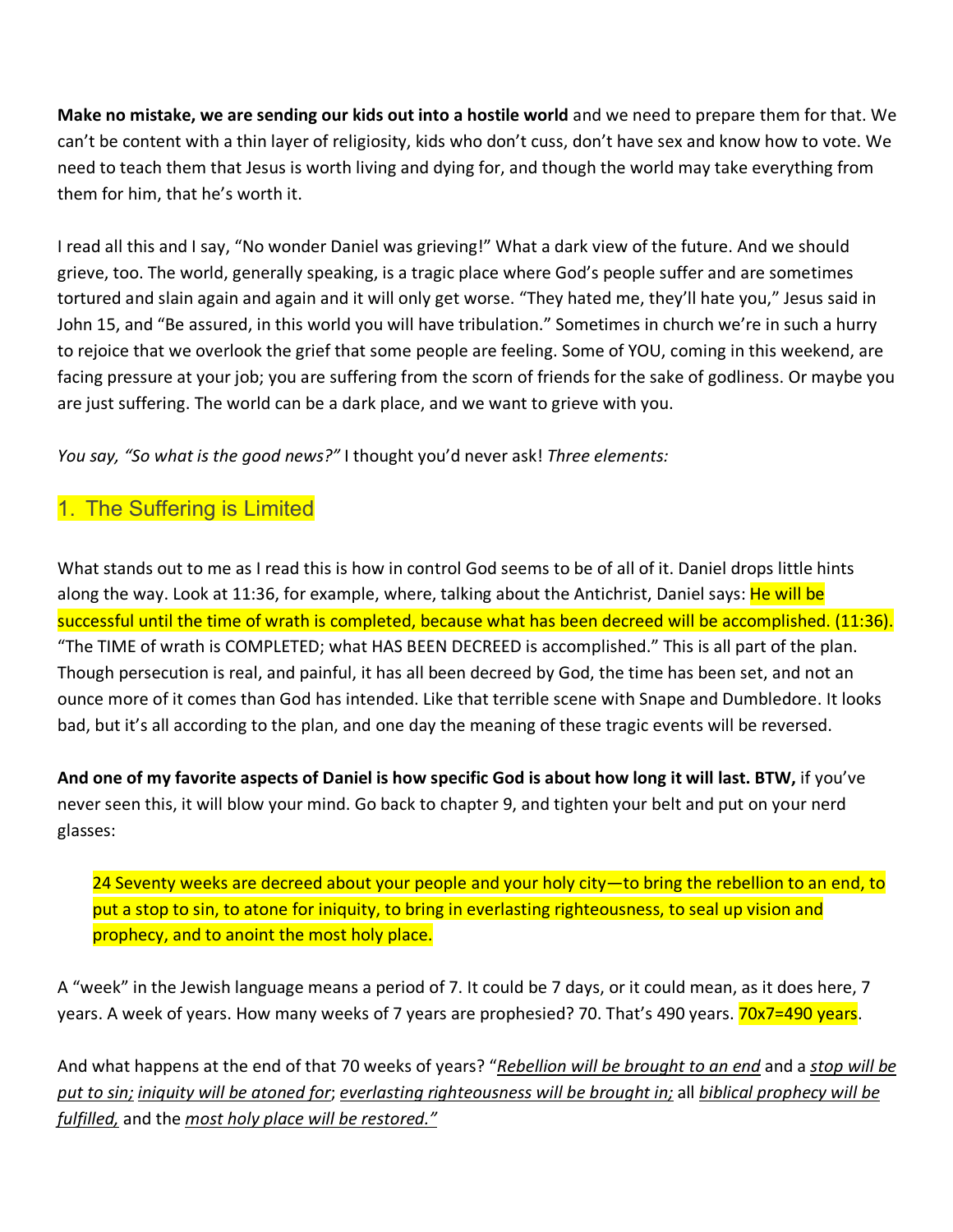**Make no mistake, we are sending our kids out into a hostile world** and we need to prepare them for that. We can't be content with a thin layer of religiosity, kids who don't cuss, don't have sex and know how to vote. We need to teach them that Jesus is worth living and dying for, and though the world may take everything from them for him, that he's worth it.

I read all this and I say, "No wonder Daniel was grieving!" What a dark view of the future. And we should grieve, too. The world, generally speaking, is a tragic place where God's people suffer and are sometimes tortured and slain again and again and it will only get worse. "They hated me, they'll hate you," Jesus said in John 15, and "Be assured, in this world you will have tribulation." Sometimes in church we're in such a hurry to rejoice that we overlook the grief that some people are feeling. Some of YOU, coming in this weekend, are facing pressure at your job; you are suffering from the scorn of friends for the sake of godliness. Or maybe you are just suffering. The world can be a dark place, and we want to grieve with you.

*You say, "So what is the good news?"* I thought you'd never ask! *Three elements:*

### 1. The Suffering is Limited

What stands out to me as I read this is how in control God seems to be of all of it. Daniel drops little hints along the way. Look at 11:36, for example, where, talking about the Antichrist, Daniel says: He will be successful until the time of wrath is completed, because what has been decreed will be accomplished. (11:36). "The TIME of wrath is COMPLETED; what HAS BEEN DECREED is accomplished." This is all part of the plan. Though persecution is real, and painful, it has all been decreed by God, the time has been set, and not an ounce more of it comes than God has intended. Like that terrible scene with Snape and Dumbledore. It looks bad, but it's all according to the plan, and one day the meaning of these tragic events will be reversed.

**And one of my favorite aspects of Daniel is how specific God is about how long it will last. BTW,** if you've never seen this, it will blow your mind. Go back to chapter 9, and tighten your belt and put on your nerd glasses:

24 Seventy weeks are decreed about your people and your holy city—to bring the rebellion to an end, to put a stop to sin, to atone for iniquity, to bring in everlasting righteousness, to seal up vision and prophecy, and to anoint the most holy place.

A "week" in the Jewish language means a period of 7. It could be 7 days, or it could mean, as it does here, 7 years. A week of years. How many weeks of 7 years are prophesied? 70. That's 490 years. 70x7=490 years.

And what happens at the end of that 70 weeks of years? "*Rebellion will be brought to an end* and a *stop will be put to sin; iniquity will be atoned for*; *everlasting righteousness will be brought in;* all *biblical prophecy will be fulfilled,* and the *most holy place will be restored."*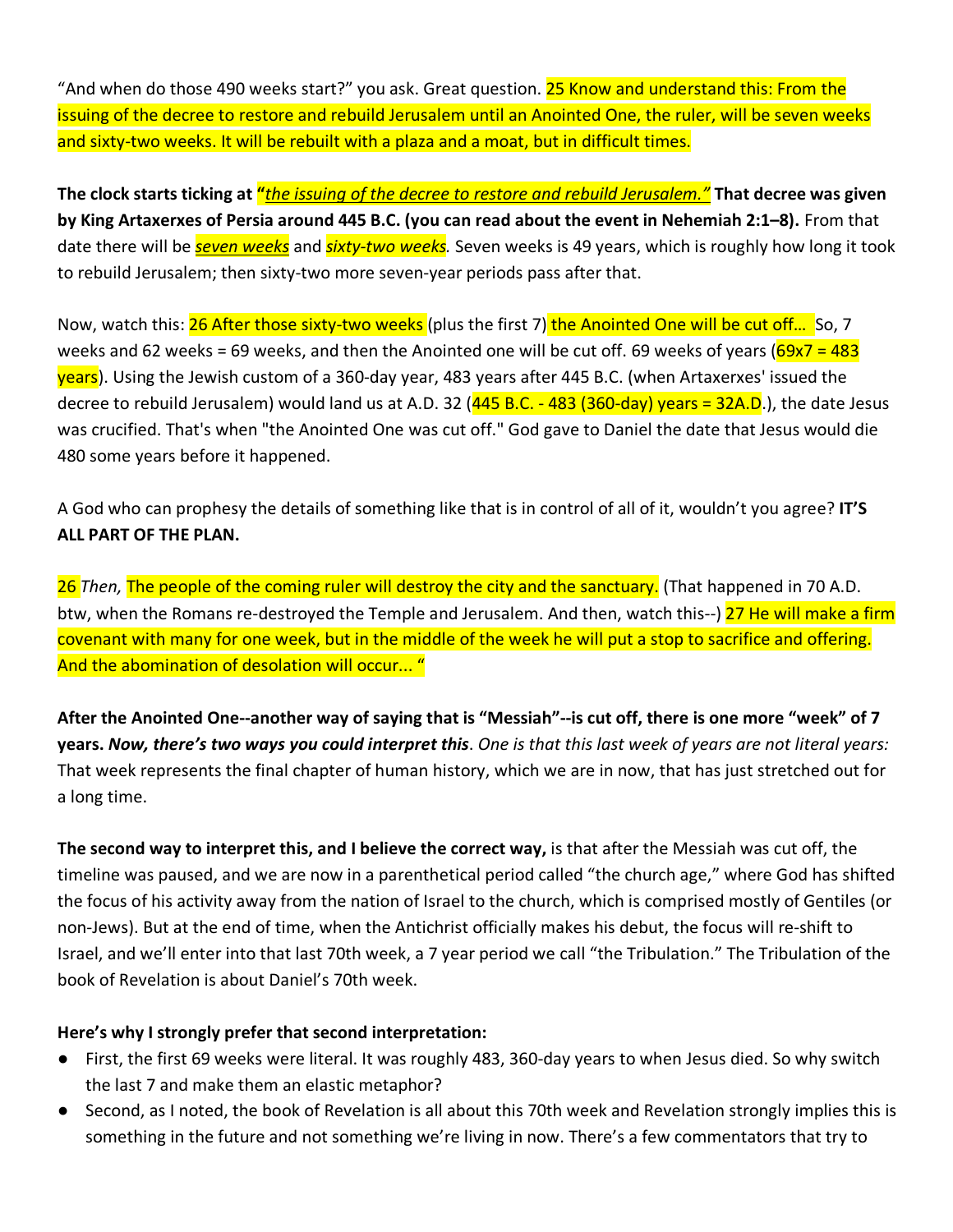"And when do those 490 weeks start?" you ask. Great question. 25 Know and understand this: From the issuing of the decree to restore and rebuild Jerusalem until an Anointed One, the ruler, will be seven weeks and sixty-two weeks. It will be rebuilt with a plaza and a moat, but in difficult times.

**The clock starts ticking at "***the issuing of the decree to restore and rebuild Jerusalem."* **That decree was given by King Artaxerxes of Persia around 445 B.C. (you can read about the event in Nehemiah 2:1–8).** From that date there will be *seven weeks* and *sixty-two weeks.* Seven weeks is 49 years, which is roughly how long it took to rebuild Jerusalem; then sixty-two more seven-year periods pass after that.

Now, watch this: 26 After those sixty-two weeks (plus the first 7) the Anointed One will be cut off... So, 7 weeks and 62 weeks = 69 weeks, and then the Anointed one will be cut off. 69 weeks of years ( $\frac{69x7}{69}$  = 483 years). Using the Jewish custom of a 360-day year, 483 years after 445 B.C. (when Artaxerxes' issued the decree to rebuild Jerusalem) would land us at A.D. 32  $(445 B.C. - 483 (360-day) years = 32A.D.)$ , the date Jesus was crucified. That's when "the Anointed One was cut off." God gave to Daniel the date that Jesus would die 480 some years before it happened.

A God who can prophesy the details of something like that is in control of all of it, wouldn't you agree? **IT'S ALL PART OF THE PLAN.** 

26 *Then,* The people of the coming ruler will destroy the city and the sanctuary. (That happened in 70 A.D. btw, when the Romans re-destroyed the Temple and Jerusalem. And then, watch this--) 27 He will make a firm covenant with many for one week, but in the middle of the week he will put a stop to sacrifice and offering. And the abomination of desolation will occur... "

**After the Anointed One--another way of saying that is "Messiah"--is cut off, there is one more "week" of 7 years.** *Now, there's two ways you could interpret this*. *One is that this last week of years are not literal years:*  That week represents the final chapter of human history, which we are in now, that has just stretched out for a long time.

**The second way to interpret this, and I believe the correct way,** is that after the Messiah was cut off, the timeline was paused, and we are now in a parenthetical period called "the church age," where God has shifted the focus of his activity away from the nation of Israel to the church, which is comprised mostly of Gentiles (or non-Jews). But at the end of time, when the Antichrist officially makes his debut, the focus will re-shift to Israel, and we'll enter into that last 70th week, a 7 year period we call "the Tribulation." The Tribulation of the book of Revelation is about Daniel's 70th week.

#### **Here's why I strongly prefer that second interpretation:**

- First, the first 69 weeks were literal. It was roughly 483, 360-day years to when Jesus died. So why switch the last 7 and make them an elastic metaphor?
- Second, as I noted, the book of Revelation is all about this 70th week and Revelation strongly implies this is something in the future and not something we're living in now. There's a few commentators that try to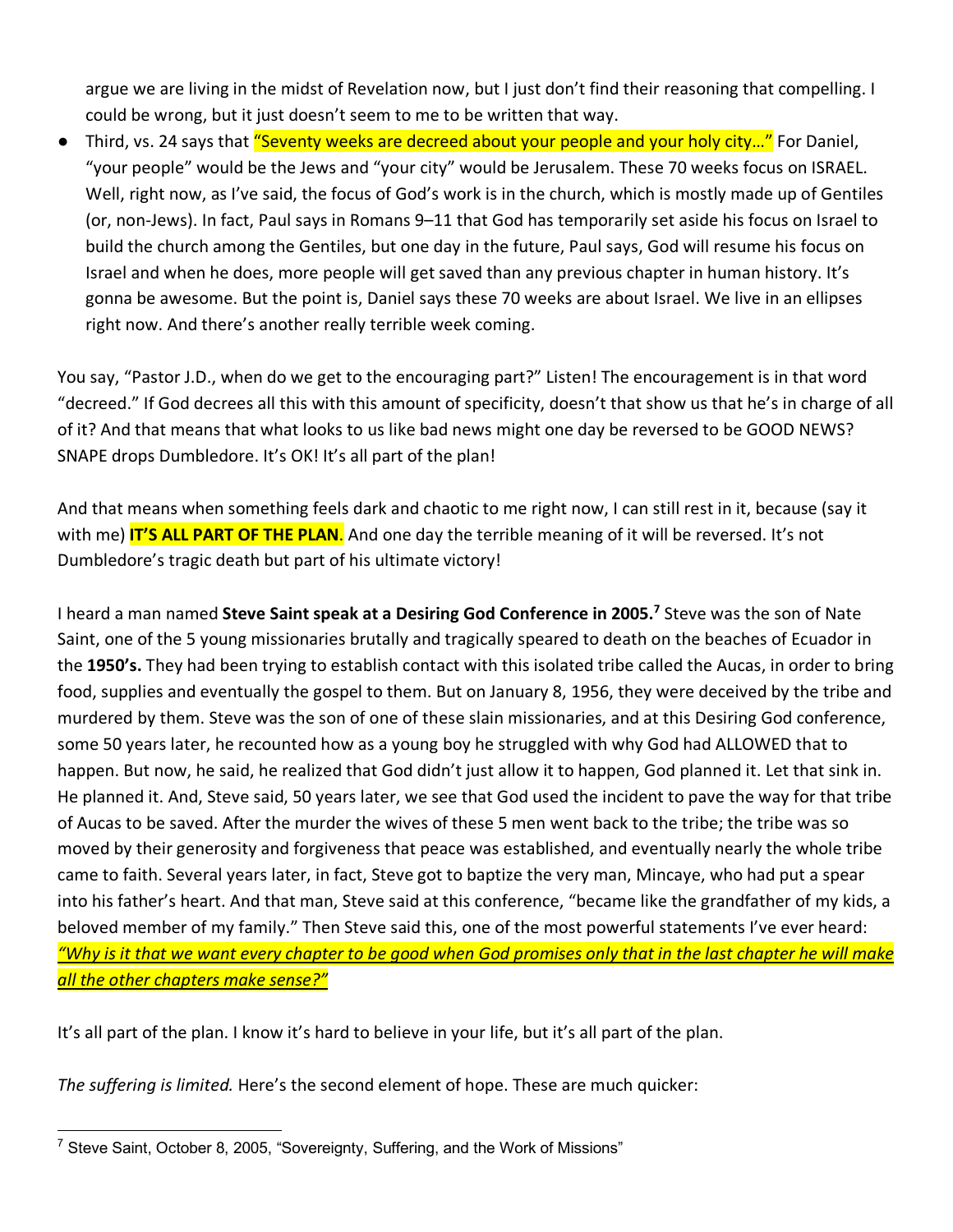argue we are living in the midst of Revelation now, but I just don't find their reasoning that compelling. I could be wrong, but it just doesn't seem to me to be written that way.

● Third, vs. 24 says that "Seventy weeks are decreed about your people and your holy city..." For Daniel, "your people" would be the Jews and "your city" would be Jerusalem. These 70 weeks focus on ISRAEL. Well, right now, as I've said, the focus of God's work is in the church, which is mostly made up of Gentiles (or, non-Jews). In fact, Paul says in Romans 9–11 that God has temporarily set aside his focus on Israel to build the church among the Gentiles, but one day in the future, Paul says, God will resume his focus on Israel and when he does, more people will get saved than any previous chapter in human history. It's gonna be awesome. But the point is, Daniel says these 70 weeks are about Israel. We live in an ellipses right now. And there's another really terrible week coming.

You say, "Pastor J.D., when do we get to the encouraging part?" Listen! The encouragement is in that word "decreed." If God decrees all this with this amount of specificity, doesn't that show us that he's in charge of all of it? And that means that what looks to us like bad news might one day be reversed to be GOOD NEWS? SNAPE drops Dumbledore. It's OK! It's all part of the plan!

And that means when something feels dark and chaotic to me right now, I can still rest in it, because (say it with me) **IT'S ALL PART OF THE PLAN**. And one day the terrible meaning of it will be reversed. It's not Dumbledore's tragic death but part of his ultimate victory!

I heard a man named **Steve Saint speak at a Desiring God Conference in 2005.7** Steve was the son of Nate Saint, one of the 5 young missionaries brutally and tragically speared to death on the beaches of Ecuador in the **1950's.** They had been trying to establish contact with this isolated tribe called the Aucas, in order to bring food, supplies and eventually the gospel to them. But on January 8, 1956, they were deceived by the tribe and murdered by them. Steve was the son of one of these slain missionaries, and at this Desiring God conference, some 50 years later, he recounted how as a young boy he struggled with why God had ALLOWED that to happen. But now, he said, he realized that God didn't just allow it to happen, God planned it. Let that sink in. He planned it. And, Steve said, 50 years later, we see that God used the incident to pave the way for that tribe of Aucas to be saved. After the murder the wives of these 5 men went back to the tribe; the tribe was so moved by their generosity and forgiveness that peace was established, and eventually nearly the whole tribe came to faith. Several years later, in fact, Steve got to baptize the very man, Mincaye, who had put a spear into his father's heart. And that man, Steve said at this conference, "became like the grandfather of my kids, a beloved member of my family." Then Steve said this, one of the most powerful statements I've ever heard: *"Why is it that we want every chapter to be good when God promises only that in the last chapter he will make all the other chapters make sense?"*

It's all part of the plan. I know it's hard to believe in your life, but it's all part of the plan.

*The suffering is limited.* Here's the second element of hope. These are much quicker:

 $7$  Steve Saint, October 8, 2005, "Sovereignty, Suffering, and the Work of Missions"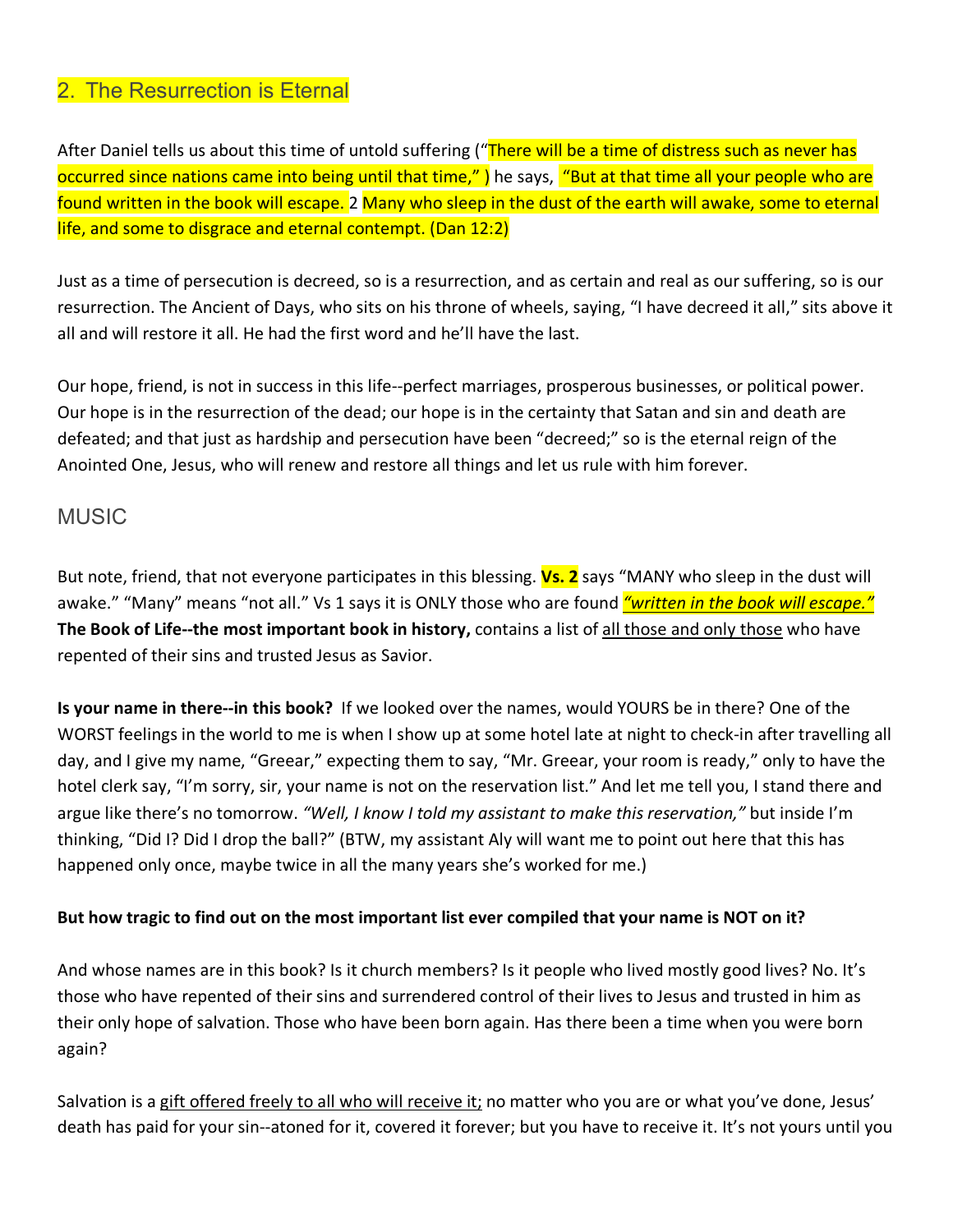### 2. The Resurrection is Eternal

After Daniel tells us about this time of untold suffering ("There will be a time of distress such as never has occurred since nations came into being until that time,") he says, "But at that time all your people who are found written in the book will escape. 2 Many who sleep in the dust of the earth will awake, some to eternal life, and some to disgrace and eternal contempt. (Dan 12:2)

Just as a time of persecution is decreed, so is a resurrection, and as certain and real as our suffering, so is our resurrection. The Ancient of Days, who sits on his throne of wheels, saying, "I have decreed it all," sits above it all and will restore it all. He had the first word and he'll have the last.

Our hope, friend, is not in success in this life--perfect marriages, prosperous businesses, or political power. Our hope is in the resurrection of the dead; our hope is in the certainty that Satan and sin and death are defeated; and that just as hardship and persecution have been "decreed;" so is the eternal reign of the Anointed One, Jesus, who will renew and restore all things and let us rule with him forever.

### MUSIC

But note, friend, that not everyone participates in this blessing. **Vs. 2** says "MANY who sleep in the dust will awake." "Many" means "not all." Vs 1 says it is ONLY those who are found *"written in the book will escape."* **The Book of Life--the most important book in history,** contains a list of all those and only those who have repented of their sins and trusted Jesus as Savior.

**Is your name in there--in this book?** If we looked over the names, would YOURS be in there? One of the WORST feelings in the world to me is when I show up at some hotel late at night to check-in after travelling all day, and I give my name, "Greear," expecting them to say, "Mr. Greear, your room is ready," only to have the hotel clerk say, "I'm sorry, sir, your name is not on the reservation list." And let me tell you, I stand there and argue like there's no tomorrow. *"Well, I know I told my assistant to make this reservation,"* but inside I'm thinking, "Did I? Did I drop the ball?" (BTW, my assistant Aly will want me to point out here that this has happened only once, maybe twice in all the many years she's worked for me.)

#### **But how tragic to find out on the most important list ever compiled that your name is NOT on it?**

And whose names are in this book? Is it church members? Is it people who lived mostly good lives? No. It's those who have repented of their sins and surrendered control of their lives to Jesus and trusted in him as their only hope of salvation. Those who have been born again. Has there been a time when you were born again?

Salvation is a gift offered freely to all who will receive it; no matter who you are or what you've done, Jesus' death has paid for your sin--atoned for it, covered it forever; but you have to receive it. It's not yours until you